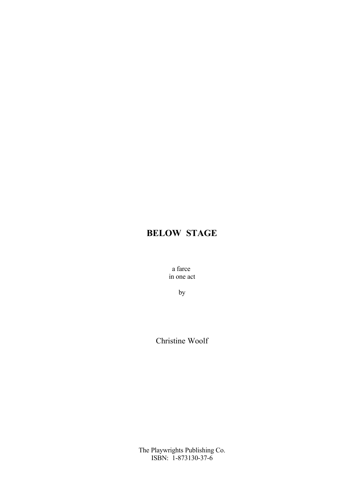a farce in one act

by

Christine Woolf

The Playwrights Publishing Co. ISBN: 1-873130-37-6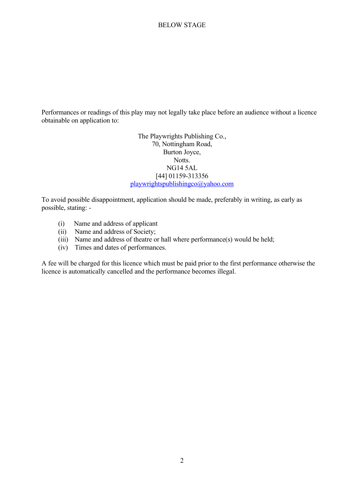Performances or readings of this play may not legally take place before an audience without a licence obtainable on application to:

> The Playwrights Publishing Co., 70, Nottingham Road, Burton Joyce, Notts. NG14 5AL [44] 01159-313356 [playwrightspublishingco@yahoo.com](mailto:playwrightspublishingco@yahoo.com)

To avoid possible disappointment, application should be made, preferably in writing, as early as possible, stating: -

- (i) Name and address of applicant
- (ii) Name and address of Society;
- (iii) Name and address of theatre or hall where performance(s) would be held;
- (iv) Times and dates of performances.

A fee will be charged for this licence which must be paid prior to the first performance otherwise the licence is automatically cancelled and the performance becomes illegal.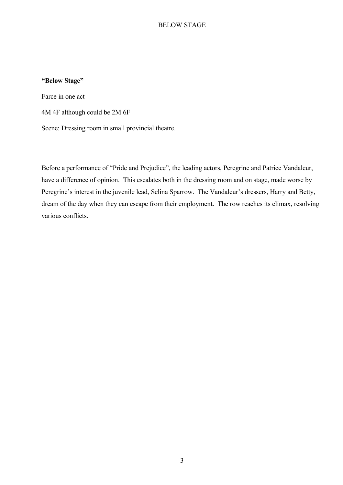#### **"Below Stage"**

Farce in one act

4M 4F although could be 2M 6F

Scene: Dressing room in small provincial theatre.

Before a performance of "Pride and Prejudice", the leading actors, Peregrine and Patrice Vandaleur, have a difference of opinion. This escalates both in the dressing room and on stage, made worse by Peregrine's interest in the juvenile lead, Selina Sparrow. The Vandaleur's dressers, Harry and Betty, dream of the day when they can escape from their employment. The row reaches its climax, resolving various conflicts.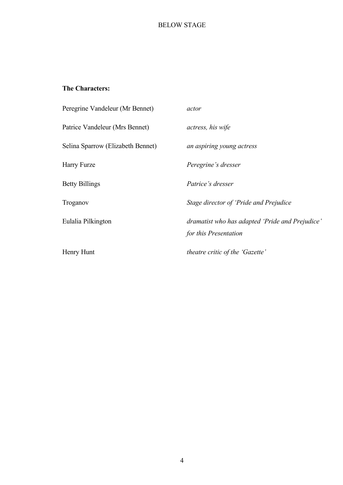# **The Characters:**

| Peregrine Vandeleur (Mr Bennet)   | actor                                                                    |
|-----------------------------------|--------------------------------------------------------------------------|
| Patrice Vandeleur (Mrs Bennet)    | actress, his wife                                                        |
| Selina Sparrow (Elizabeth Bennet) | an aspiring young actress                                                |
| Harry Furze                       | Peregrine's dresser                                                      |
| <b>Betty Billings</b>             | <i>Patrice's dresser</i>                                                 |
| Troganov                          | Stage director of 'Pride and Prejudice                                   |
| Eulalia Pilkington                | dramatist who has adapted 'Pride and Prejudice'<br>for this Presentation |
| Henry Hunt                        | theatre critic of the 'Gazette'                                          |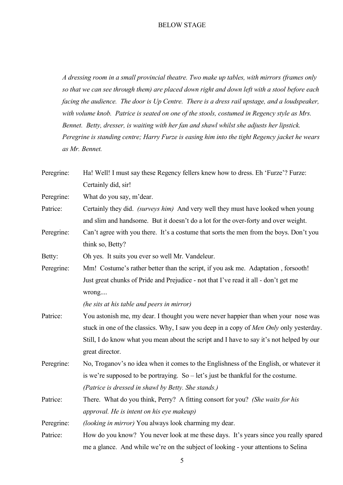*A dressing room in a small provincial theatre. Two make up tables, with mirrors (frames only so that we can see through them) are placed down right and down left with a stool before each facing the audience. The door is Up Centre. There is a dress rail upstage, and a loudspeaker, with volume knob. Patrice is seated on one of the stools, costumed in Regency style as Mrs. Bennet. Betty, dresser, is waiting with her fan and shawl whilst she adjusts her lipstick. Peregrine is standing centre; Harry Furze is easing him into the tight Regency jacket he wears as Mr. Bennet.*

| Peregrine: | Ha! Well! I must say these Regency fellers knew how to dress. Eh 'Furze'? Furze:         |
|------------|------------------------------------------------------------------------------------------|
|            | Certainly did, sir!                                                                      |
| Peregrine: | What do you say, m'dear.                                                                 |
| Patrice:   | Certainly they did. <i>(surveys him)</i> And very well they must have looked when young  |
|            | and slim and handsome. But it doesn't do a lot for the over-forty and over weight.       |
| Peregrine: | Can't agree with you there. It's a costume that sorts the men from the boys. Don't you   |
|            | think so, Betty?                                                                         |
| Betty:     | Oh yes. It suits you ever so well Mr. Vandeleur.                                         |
| Peregrine: | Mm! Costume's rather better than the script, if you ask me. Adaptation, forsooth!        |
|            | Just great chunks of Pride and Prejudice - not that I've read it all - don't get me      |
|            | wrong                                                                                    |
|            | (he sits at his table and peers in mirror)                                               |
| Patrice:   | You astonish me, my dear. I thought you were never happier than when your nose was       |
|            | stuck in one of the classics. Why, I saw you deep in a copy of Men Only only yesterday.  |
|            | Still, I do know what you mean about the script and I have to say it's not helped by our |
|            | great director.                                                                          |
| Peregrine: | No, Troganov's no idea when it comes to the Englishness of the English, or whatever it   |
|            | is we're supposed to be portraying. So – let's just be thankful for the costume.         |
|            | (Patrice is dressed in shawl by Betty. She stands.)                                      |
| Patrice:   | There. What do you think, Perry? A fitting consort for you? (She waits for his           |
|            | approval. He is intent on his eye makeup)                                                |
| Peregrine: | (looking in mirror) You always look charming my dear.                                    |
| Patrice:   | How do you know? You never look at me these days. It's years since you really spared     |
|            | me a glance. And while we're on the subject of looking - your attentions to Selina       |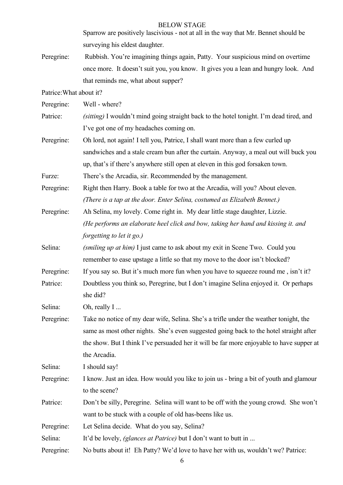Sparrow are positively lascivious - not at all in the way that Mr. Bennet should be surveying his eldest daughter.

Peregrine: Rubbish. You're imagining things again, Patty. Your suspicious mind on overtime once more. It doesn't suit you, you know. It gives you a lean and hungry look. And that reminds me, what about supper?

Patrice:What about it?

| Peregrine: | Well - where? |
|------------|---------------|
|            |               |

- Patrice: *(sitting)* I wouldn't mind going straight back to the hotel tonight. I'm dead tired, and I've got one of my headaches coming on.
- Peregrine: Oh lord, not again! I tell you, Patrice, I shall want more than a few curled up sandwiches and a stale cream bun after the curtain. Anyway, a meal out will buck you up, that's if there's anywhere still open at eleven in this god forsaken town.

Furze: There's the Arcadia, sir. Recommended by the management.

- Peregrine: Right then Harry. Book a table for two at the Arcadia, will you? About eleven. *(There is a tap at the door. Enter Selina, costumed as Elizabeth Bennet.)*
- Peregrine: Ah Selina, my lovely. Come right in. My dear little stage daughter, Lizzie. *(He performs an elaborate heel click and bow, taking her hand and kissing it. and forgetting to let it go.)*
- Selina: *(smiling up at him)* I just came to ask about my exit in Scene Two. Could you remember to ease upstage a little so that my move to the door isn't blocked?
- Peregrine: If you say so. But it's much more fun when you have to squeeze round me, isn't it?
- Patrice: Doubtless you think so, Peregrine, but I don't imagine Selina enjoyed it. Or perhaps she did?

Selina: Oh, really I ...

Peregrine: Take no notice of my dear wife, Selina. She's a trifle under the weather tonight, the same as most other nights. She's even suggested going back to the hotel straight after the show. But I think I've persuaded her it will be far more enjoyable to have supper at the Arcadia.

Selina: I should say!

- Peregrine: I know. Just an idea. How would you like to join us bring a bit of youth and glamour to the scene?
- Patrice: Don't be silly, Peregrine. Selina will want to be off with the young crowd. She won't want to be stuck with a couple of old has-beens like us.
- Peregrine: Let Selina decide. What do you say, Selina?

Selina: It'd be lovely, *(glances at Patrice)* but I don't want to butt in ...

Peregrine: No butts about it! Eh Patty? We'd love to have her with us, wouldn't we? Patrice: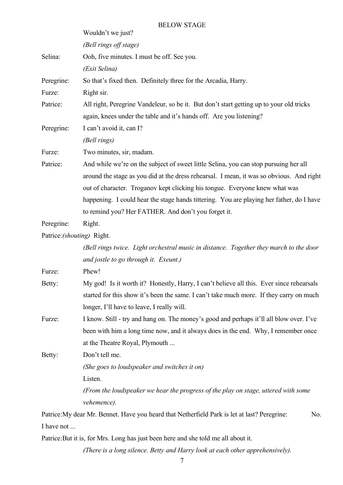|                            | <b>BELOW STAGE</b>                                                                                  |
|----------------------------|-----------------------------------------------------------------------------------------------------|
|                            | Wouldn't we just?                                                                                   |
|                            | (Bell rings off stage)                                                                              |
| Selina:                    | Ooh, five minutes. I must be off. See you.                                                          |
|                            | (Exit Selina)                                                                                       |
| Peregrine:                 | So that's fixed then. Definitely three for the Arcadia, Harry.                                      |
| Furze:                     | Right sir.                                                                                          |
| Patrice:                   | All right, Peregrine Vandeleur, so be it. But don't start getting up to your old tricks             |
|                            | again, knees under the table and it's hands off. Are you listening?                                 |
| Peregrine:                 | I can't avoid it, can I?                                                                            |
|                            | (Bell rings)                                                                                        |
| Furze:                     | Two minutes, sir, madam.                                                                            |
| Patrice:                   | And while we're on the subject of sweet little Selina, you can stop pursuing her all                |
|                            | around the stage as you did at the dress rehearsal. I mean, it was so obvious. And right            |
|                            | out of character. Troganov kept clicking his tongue. Everyone knew what was                         |
|                            | happening. I could hear the stage hands tittering. You are playing her father, do I have            |
|                            | to remind you? Her FATHER. And don't you forget it.                                                 |
| Peregrine:                 | Right.                                                                                              |
| Patrice: (shouting) Right. |                                                                                                     |
|                            | (Bell rings twice. Light orchestral music in distance. Together they march to the door              |
|                            | and jostle to go through it. Exeunt.)                                                               |
| Furze:                     | Phew!                                                                                               |
| Betty:                     | My god! Is it worth it? Honestly, Harry, I can't believe all this. Ever since rehearsals            |
|                            | started for this show it's been the same. I can't take much more. If they carry on much             |
|                            | longer, I'll have to leave, I really will.                                                          |
| Furze:                     | I know. Still - try and hang on. The money's good and perhaps it'll all blow over. I've             |
|                            | been with him a long time now, and it always does in the end. Why, I remember once                  |
|                            | at the Theatre Royal, Plymouth                                                                      |
| Betty:                     | Don't tell me.                                                                                      |
|                            | (She goes to loudspeaker and switches it on)                                                        |
|                            | Listen.                                                                                             |
|                            | (From the loudspeaker we hear the progress of the play on stage, uttered with some                  |
|                            | vehemence).                                                                                         |
|                            | Patrice: My dear Mr. Bennet. Have you heard that Netherfield Park is let at last? Peregrine:<br>No. |
| I have not                 |                                                                                                     |

Patrice:But it is, for Mrs. Long has just been here and she told me all about it.

*(There is a long silence. Betty and Harry look at each other apprehensively).*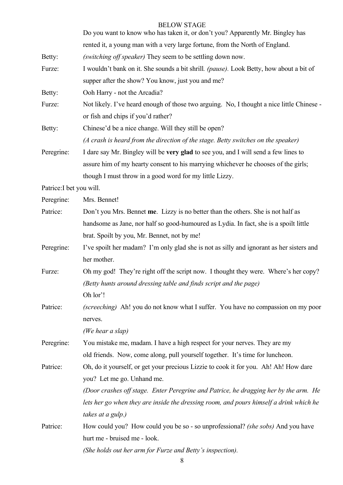|                          | Do you want to know who has taken it, or don't you? Apparently Mr. Bingley has            |
|--------------------------|-------------------------------------------------------------------------------------------|
|                          | rented it, a young man with a very large fortune, from the North of England.              |
| Betty:                   | (switching off speaker) They seem to be settling down now.                                |
| Furze:                   | I wouldn't bank on it. She sounds a bit shrill. (pause). Look Betty, how about a bit of   |
|                          | supper after the show? You know, just you and me?                                         |
| Betty:                   | Ooh Harry - not the Arcadia?                                                              |
| Furze:                   | Not likely. I've heard enough of those two arguing. No, I thought a nice little Chinese - |
|                          | or fish and chips if you'd rather?                                                        |
| Betty:                   | Chinese'd be a nice change. Will they still be open?                                      |
|                          | (A crash is heard from the direction of the stage. Betty switches on the speaker)         |
| Peregrine:               | I dare say Mr. Bingley will be very glad to see you, and I will send a few lines to       |
|                          | assure him of my hearty consent to his marrying whichever he chooses of the girls;        |
|                          | though I must throw in a good word for my little Lizzy.                                   |
| Patrice: I bet you will. |                                                                                           |
| Peregrine:               | Mrs. Bennet!                                                                              |
| Patrice:                 | Don't you Mrs. Bennet me. Lizzy is no better than the others. She is not half as          |
|                          | handsome as Jane, nor half so good-humoured as Lydia. In fact, she is a spoilt little     |
|                          | brat. Spoilt by you, Mr. Bennet, not by me!                                               |
| Peregrine:               | I've spoilt her madam? I'm only glad she is not as silly and ignorant as her sisters and  |
|                          | her mother.                                                                               |
| Furze:                   | Oh my god! They're right off the script now. I thought they were. Where's her copy?       |
|                          | (Betty hunts around dressing table and finds script and the page)                         |
|                          | Oh lor'!                                                                                  |
| Patrice:                 | (screeching) Ah! you do not know what I suffer. You have no compassion on my poor         |
|                          | nerves.                                                                                   |
|                          | (We hear a slap)                                                                          |
| Peregrine:               | You mistake me, madam. I have a high respect for your nerves. They are my                 |
|                          | old friends. Now, come along, pull yourself together. It's time for luncheon.             |
| Patrice:                 | Oh, do it yourself, or get your precious Lizzie to cook it for you. Ah! Ah! How dare      |
|                          | you? Let me go. Unhand me.                                                                |
|                          | (Door crashes off stage. Enter Peregrine and Patrice, he dragging her by the arm. He      |
|                          | lets her go when they are inside the dressing room, and pours himself a drink which he    |
|                          | takes at a gulp.)                                                                         |
| Patrice:                 | How could you? How could you be so - so unprofessional? (she sobs) And you have           |
|                          | hurt me - bruised me - look.                                                              |
|                          | (She holds out her arm for Furze and Betty's inspection).                                 |